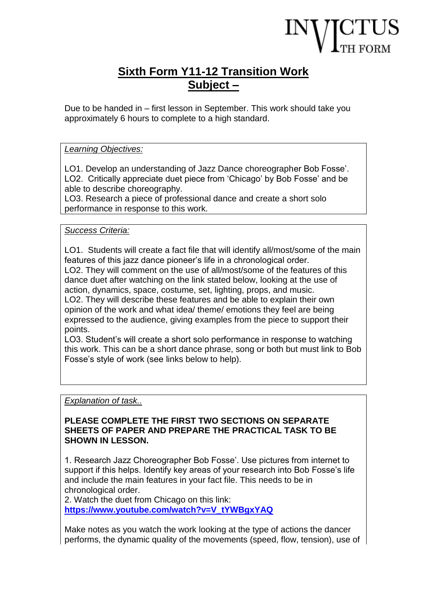# **Sixth Form Y11-12 Transition Work Subject –**

Due to be handed in – first lesson in September. This work should take you approximately 6 hours to complete to a high standard.

## *Learning Objectives:*

LO1. Develop an understanding of Jazz Dance choreographer Bob Fosse'. LO2. Critically appreciate duet piece from 'Chicago' by Bob Fosse' and be able to describe choreography.

LO3. Research a piece of professional dance and create a short solo performance in response to this work.

# *Success Criteria:*

LO1. Students will create a fact file that will identify all/most/some of the main features of this jazz dance pioneer's life in a chronological order.

LO2. They will comment on the use of all/most/some of the features of this dance duet after watching on the link stated below, looking at the use of action, dynamics, space, costume, set, lighting, props, and music.

LO2. They will describe these features and be able to explain their own opinion of the work and what idea/ theme/ emotions they feel are being expressed to the audience, giving examples from the piece to support their points.

LO3. Student's will create a short solo performance in response to watching this work. This can be a short dance phrase, song or both but must link to Bob Fosse's style of work (see links below to help).

### *Explanation of task..*

#### **PLEASE COMPLETE THE FIRST TWO SECTIONS ON SEPARATE SHEETS OF PAPER AND PREPARE THE PRACTICAL TASK TO BE SHOWN IN LESSON.**

1. Research Jazz Choreographer Bob Fosse'. Use pictures from internet to support if this helps. Identify key areas of your research into Bob Fosse's life and include the main features in your fact file. This needs to be in chronological order.

2. Watch the duet from Chicago on this link: **[https://www.youtube.com/watch?v=V\\_tYWBgxYAQ](https://www.youtube.com/watch?v=V_tYWBgxYAQ)**

Make notes as you watch the work looking at the type of actions the dancer performs, the dynamic quality of the movements (speed, flow, tension), use of